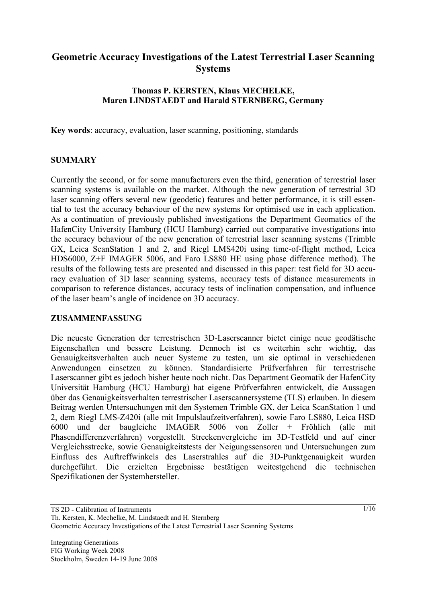# **Geometric Accuracy Investigations of the Latest Terrestrial Laser Scanning Systems**

#### **Thomas P. KERSTEN, Klaus MECHELKE, Maren LINDSTAEDT and Harald STERNBERG, Germany**

**Key words**: accuracy, evaluation, laser scanning, positioning, standards

#### **SUMMARY**

Currently the second, or for some manufacturers even the third, generation of terrestrial laser scanning systems is available on the market. Although the new generation of terrestrial 3D laser scanning offers several new (geodetic) features and better performance, it is still essential to test the accuracy behaviour of the new systems for optimised use in each application. As a continuation of previously published investigations the Department Geomatics of the HafenCity University Hamburg (HCU Hamburg) carried out comparative investigations into the accuracy behaviour of the new generation of terrestrial laser scanning systems (Trimble GX, Leica ScanStation 1 and 2, and Riegl LMS420i using time-of-flight method, Leica HDS6000, Z+F IMAGER 5006, and Faro LS880 HE using phase difference method). The results of the following tests are presented and discussed in this paper: test field for 3D accuracy evaluation of 3D laser scanning systems, accuracy tests of distance measurements in comparison to reference distances, accuracy tests of inclination compensation, and influence of the laser beam's angle of incidence on 3D accuracy.

#### **ZUSAMMENFASSUNG**

Die neueste Generation der terrestrischen 3D-Laserscanner bietet einige neue geodätische Eigenschaften und bessere Leistung. Dennoch ist es weiterhin sehr wichtig, das Genauigkeitsverhalten auch neuer Systeme zu testen, um sie optimal in verschiedenen Anwendungen einsetzen zu können. Standardisierte Prüfverfahren für terrestrische Laserscanner gibt es jedoch bisher heute noch nicht. Das Department Geomatik der HafenCity Universität Hamburg (HCU Hamburg) hat eigene Prüfverfahren entwickelt, die Aussagen über das Genauigkeitsverhalten terrestrischer Laserscannersysteme (TLS) erlauben. In diesem Beitrag werden Untersuchungen mit den Systemen Trimble GX, der Leica ScanStation 1 und 2, dem Riegl LMS-Z420i (alle mit Impulslaufzeitverfahren), sowie Faro LS880, Leica HSD 6000 und der baugleiche IMAGER 5006 von Zoller + Fröhlich (alle mit Phasendifferenzverfahren) vorgestellt. Streckenvergleiche im 3D-Testfeld und auf einer Vergleichsstrecke, sowie Genauigkeitstests der Neigungssensoren und Untersuchungen zum Einfluss des Auftreffwinkels des Laserstrahles auf die 3D-Punktgenauigkeit wurden durchgeführt. Die erzielten Ergebnisse bestätigen weitestgehend die technischen Spezifikationen der Systemhersteller.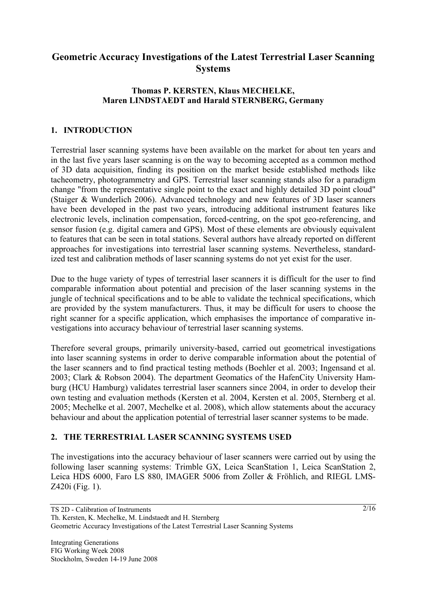# **Geometric Accuracy Investigations of the Latest Terrestrial Laser Scanning Systems**

#### **Thomas P. KERSTEN, Klaus MECHELKE, Maren LINDSTAEDT and Harald STERNBERG, Germany**

# **1. INTRODUCTION**

Terrestrial laser scanning systems have been available on the market for about ten years and in the last five years laser scanning is on the way to becoming accepted as a common method of 3D data acquisition, finding its position on the market beside established methods like tacheometry, photogrammetry and GPS. Terrestrial laser scanning stands also for a paradigm change "from the representative single point to the exact and highly detailed 3D point cloud" (Staiger & Wunderlich 2006). Advanced technology and new features of 3D laser scanners have been developed in the past two years, introducing additional instrument features like electronic levels, inclination compensation, forced-centring, on the spot geo-referencing, and sensor fusion (e.g. digital camera and GPS). Most of these elements are obviously equivalent to features that can be seen in total stations. Several authors have already reported on different approaches for investigations into terrestrial laser scanning systems. Nevertheless, standardized test and calibration methods of laser scanning systems do not yet exist for the user.

Due to the huge variety of types of terrestrial laser scanners it is difficult for the user to find comparable information about potential and precision of the laser scanning systems in the jungle of technical specifications and to be able to validate the technical specifications, which are provided by the system manufacturers. Thus, it may be difficult for users to choose the right scanner for a specific application, which emphasises the importance of comparative investigations into accuracy behaviour of terrestrial laser scanning systems.

Therefore several groups, primarily university-based, carried out geometrical investigations into laser scanning systems in order to derive comparable information about the potential of the laser scanners and to find practical testing methods (Boehler et al. 2003; Ingensand et al. 2003; Clark & Robson 2004). The department Geomatics of the HafenCity University Hamburg (HCU Hamburg) validates terrestrial laser scanners since 2004, in order to develop their own testing and evaluation methods (Kersten et al. 2004, Kersten et al. 2005, Sternberg et al. 2005; Mechelke et al. 2007, Mechelke et al. 2008), which allow statements about the accuracy behaviour and about the application potential of terrestrial laser scanner systems to be made.

#### **2. THE TERRESTRIAL LASER SCANNING SYSTEMS USED**

The investigations into the accuracy behaviour of laser scanners were carried out by using the following laser scanning systems: Trimble GX, Leica ScanStation 1, Leica ScanStation 2, Leica HDS 6000, Faro LS 880, IMAGER 5006 from Zoller & Fröhlich, and RIEGL LMS-Z420i (Fig. 1).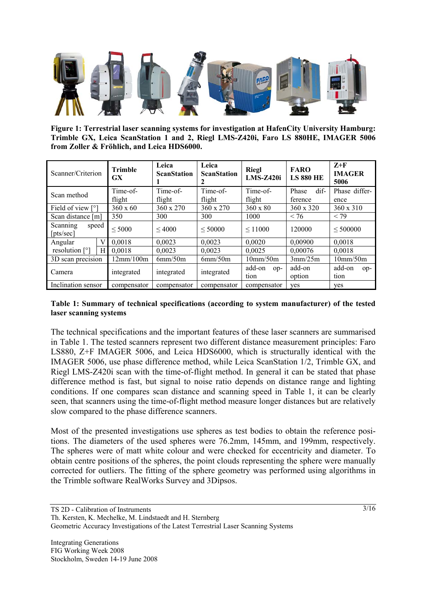

**Figure 1: Terrestrial laser scanning systems for investigation at HafenCity University Hamburg: Trimble GX, Leica ScanStation 1 and 2, Riegl LMS-Z420i, Faro LS 880HE, IMAGER 5006 from Zoller & Fröhlich, and Leica HDS6000.** 

| Scanner/Criterion                       | <b>Trimble</b><br><b>GX</b> | Leica<br><b>ScanStation</b> | Leica<br><b>Riegl</b><br><b>ScanStation</b><br><b>LMS-Z420i</b> |                         | <b>FARO</b><br><b>LS 880 HE</b> | $Z+F$<br><b>IMAGER</b><br>5006 |  |
|-----------------------------------------|-----------------------------|-----------------------------|-----------------------------------------------------------------|-------------------------|---------------------------------|--------------------------------|--|
| Scan method                             | Time-of-                    | Time-of-                    | Time-of-                                                        | Time-of-                | dif-<br>Phase                   | Phase differ-                  |  |
|                                         | flight                      | flight                      | flight<br>flight                                                |                         | ference                         | ence                           |  |
| Field of view [°]                       | $360 \times 60$             | 360 x 270                   | 360 x 270                                                       | $360 \times 80$         | $360 \times 320$                | 360 x 310                      |  |
| Scan distance [m]                       | 350                         | 300                         | 300                                                             | 1000                    | < 76                            | < 79                           |  |
| Scanning<br>speed<br>[pts/sec]          | $\leq 5000$                 | $\leq 4000$                 | < 50000                                                         | $\leq 11000$            | 120000                          | < 500000                       |  |
| V<br>Angular                            | 0.0018                      | 0.0023                      | 0.0023                                                          | 0.0020                  | 0.00900                         | 0.0018                         |  |
| resolution $\lceil$ <sup>o</sup> ]<br>Н | 0.0018<br>0.0023            |                             | 0.0023                                                          | 0.00076<br>0.0025       |                                 | 0.0018                         |  |
| 3D scan precision                       | 12mm/100m                   | 6mm/50m                     | 6mm/50m                                                         | 10mm/50m                | 3mm/25m                         | 10mm/50m                       |  |
| Camera                                  | integrated                  | integrated                  | integrated                                                      | add-on<br>$OP-$<br>tion | add-on<br>option                | add-on<br>$op-$<br>tion        |  |
| Inclination sensor                      | compensator                 | compensator                 | compensator                                                     | compensator             | ves                             | ves                            |  |

#### **Table 1: Summary of technical specifications (according to system manufacturer) of the tested laser scanning systems**

The technical specifications and the important features of these laser scanners are summarised in Table 1. The tested scanners represent two different distance measurement principles: Faro LS880, Z+F IMAGER 5006, and Leica HDS6000, which is structurally identical with the IMAGER 5006, use phase difference method, while Leica ScanStation 1/2, Trimble GX, and Riegl LMS-Z420i scan with the time-of-flight method. In general it can be stated that phase difference method is fast, but signal to noise ratio depends on distance range and lighting conditions. If one compares scan distance and scanning speed in Table 1, it can be clearly seen, that scanners using the time-of-flight method measure longer distances but are relatively slow compared to the phase difference scanners.

Most of the presented investigations use spheres as test bodies to obtain the reference positions. The diameters of the used spheres were 76.2mm, 145mm, and 199mm, respectively. The spheres were of matt white colour and were checked for eccentricity and diameter. To obtain centre positions of the spheres, the point clouds representing the sphere were manually corrected for outliers. The fitting of the sphere geometry was performed using algorithms in the Trimble software RealWorks Survey and 3Dipsos.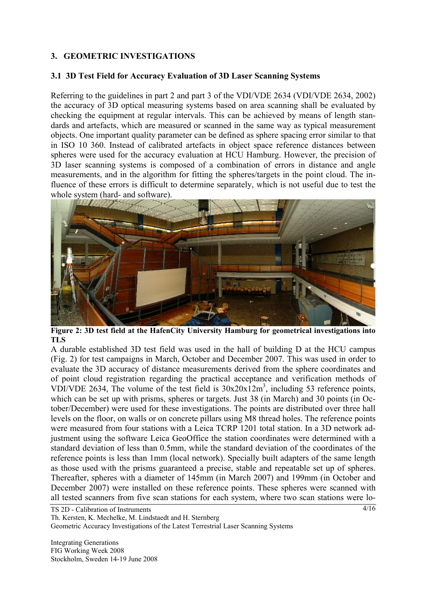# **3. GEOMETRIC INVESTIGATIONS**

#### **3.1 3D Test Field for Accuracy Evaluation of 3D Laser Scanning Systems**

Referring to the guidelines in part 2 and part 3 of the VDI/VDE 2634 (VDI/VDE 2634, 2002) the accuracy of 3D optical measuring systems based on area scanning shall be evaluated by checking the equipment at regular intervals. This can be achieved by means of length standards and artefacts, which are measured or scanned in the same way as typical measurement objects. One important quality parameter can be defined as sphere spacing error similar to that in ISO 10 360. Instead of calibrated artefacts in object space reference distances between spheres were used for the accuracy evaluation at HCU Hamburg. However, the precision of 3D laser scanning systems is composed of a combination of errors in distance and angle measurements, and in the algorithm for fitting the spheres/targets in the point cloud. The influence of these errors is difficult to determine separately, which is not useful due to test the whole system (hard- and software).



**Figure 2: 3D test field at the HafenCity University Hamburg for geometrical investigations into TLS** 

A durable established 3D test field was used in the hall of building D at the HCU campus (Fig. 2) for test campaigns in March, October and December 2007. This was used in order to evaluate the 3D accuracy of distance measurements derived from the sphere coordinates and of point cloud registration regarding the practical acceptance and verification methods of VDI/VDE 2634, The volume of the test field is  $30x20x12m^3$ , including 53 reference points, which can be set up with prisms, spheres or targets. Just 38 (in March) and 30 points (in October/December) were used for these investigations. The points are distributed over three hall levels on the floor, on walls or on concrete pillars using M8 thread holes. The reference points were measured from four stations with a Leica TCRP 1201 total station. In a 3D network adjustment using the software Leica GeoOffice the station coordinates were determined with a standard deviation of less than 0.5mm, while the standard deviation of the coordinates of the reference points is less than 1mm (local network). Specially built adapters of the same length as those used with the prisms guaranteed a precise, stable and repeatable set up of spheres. Thereafter, spheres with a diameter of 145mm (in March 2007) and 199mm (in October and December 2007) were installed on these reference points. These spheres were scanned with all tested scanners from five scan stations for each system, where two scan stations were lo-

TS 2D - Calibration of Instruments Th. Kersten, K. Mechelke, M. Lindstaedt and H. Sternberg Geometric Accuracy Investigations of the Latest Terrestrial Laser Scanning Systems

Integrating Generations FIG Working Week 2008 Stockholm, Sweden 14-19 June 2008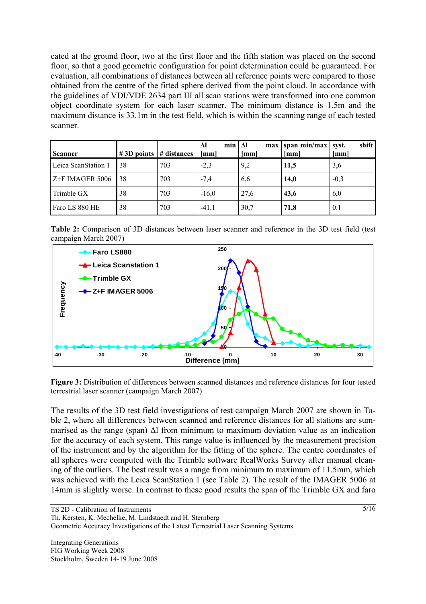cated at the ground floor, two at the first floor and the fifth station was placed on the second floor, so that a good geometric configuration for point determination could be guaranteed. For evaluation, all combinations of distances between all reference points were compared to those obtained from the centre of the fitted sphere derived from the point cloud. In accordance with the guidelines of VDI/VDE 2634 part III all scan stations were transformed into one common object coordinate system for each laser scanner. The minimum distance is 1.5m and the maximum distance is 33.1m in the test field, which is within the scanning range of each tested scanner.

| <b>Scanner</b>      | $\#3D$ points $\#$ distances |     | min<br>Δl<br>[mm] | Δl<br>max<br>[mm] | span min/max<br>[mm] | shift<br>syst.<br>[mm] |
|---------------------|------------------------------|-----|-------------------|-------------------|----------------------|------------------------|
| Leica ScanStation 1 | 38                           | 703 | $-2,3$            | 9,2               | 11,5                 | 3,6                    |
| Z+F IMAGER 5006     | 38                           | 703 | $-7.4$            | 6,6               | 14.0                 | $-0,3$                 |
| Trimble GX          | 38                           | 703 | $-16,0$           | 27,6              | 43,6                 | 6,0                    |
| Faro LS 880 HE      | 38                           | 703 | $-41,1$           | 30,7              | 71,8                 | 0.1                    |

**Table 2:** Comparison of 3D distances between laser scanner and reference in the 3D test field (test campaign March 2007)



**Figure 3:** Distribution of differences between scanned distances and reference distances for four tested terrestrial laser scanner (campaign March 2007)

The results of the 3D test field investigations of test campaign March 2007 are shown in Table 2, where all differences between scanned and reference distances for all stations are summarised as the range (span) Δl from minimum to maximum deviation value as an indication for the accuracy of each system. This range value is influenced by the measurement precision of the instrument and by the algorithm for the fitting of the sphere. The centre coordinates of all spheres were computed with the Trimble software RealWorks Survey after manual cleaning of the outliers. The best result was a range from minimum to maximum of 11.5mm, which was achieved with the Leica ScanStation 1 (see Table 2). The result of the IMAGER 5006 at 14mm is slightly worse. In contrast to these good results the span of the Trimble GX and faro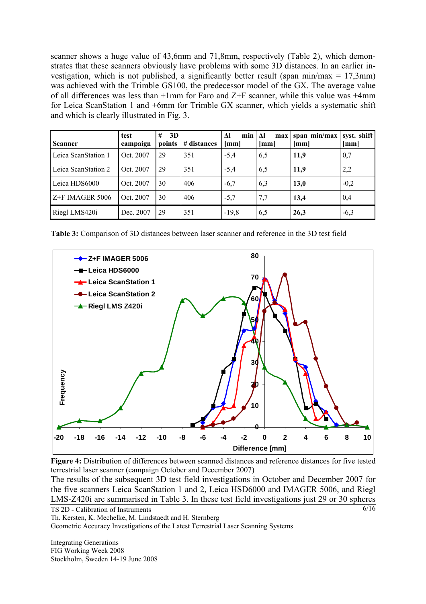scanner shows a huge value of 43,6mm and 71,8mm, respectively (Table 2), which demonstrates that these scanners obviously have problems with some 3D distances. In an earlier investigation, which is not published, a significantly better result (span min/max =  $17.3$ mm) was achieved with the Trimble GS100, the predecessor model of the GX. The average value of all differences was less than +1mm for Faro and Z+F scanner, while this value was +4mm for Leica ScanStation 1 and +6mm for Trimble GX scanner, which yields a systematic shift and which is clearly illustrated in Fig. 3.

| <b>Scanner</b>      | test<br>campaign | #<br>3D<br>points | # distances | $\Delta$ l<br>min<br>[mm] | Λl<br>max<br>[mm] | span min/max<br>[mm] | syst. shift<br>[mm] |
|---------------------|------------------|-------------------|-------------|---------------------------|-------------------|----------------------|---------------------|
| Leica ScanStation 1 | Oct. 2007        | 29                | 351         | $-5,4$                    | 6,5               | 11,9                 | 0,7                 |
| Leica ScanStation 2 | Oct. 2007        | 29                | 351         | $-5,4$                    | 6,5               | 11,9                 | 2,2                 |
| Leica HDS6000       | Oct. 2007        | 30                | 406         | $-6,7$                    | 6.3               | 13,0                 | $-0,2$              |
| Z+F IMAGER 5006     | Oct. 2007        | 30                | 406         | $-5.7$                    | 7,7               | 13,4                 | 0,4                 |
| Riegl LMS420i       | Dec. 2007        | 29                | 351         | $-19,8$                   | 6,5               | 26,3                 | $-6,3$              |

**Table 3:** Comparison of 3D distances between laser scanner and reference in the 3D test field



**Figure 4:** Distribution of differences between scanned distances and reference distances for five tested terrestrial laser scanner (campaign October and December 2007)

TS 2D - Calibration of Instruments The results of the subsequent 3D test field investigations in October and December 2007 for the five scanners Leica ScanStation 1 and 2, Leica HSD6000 and IMAGER 5006, and Riegl LMS-Z420i are summarised in Table 3. In these test field investigations just 29 or 30 spheres

Th. Kersten, K. Mechelke, M. Lindstaedt and H. Sternberg Geometric Accuracy Investigations of the Latest Terrestrial Laser Scanning Systems

Integrating Generations FIG Working Week 2008 Stockholm, Sweden 14-19 June 2008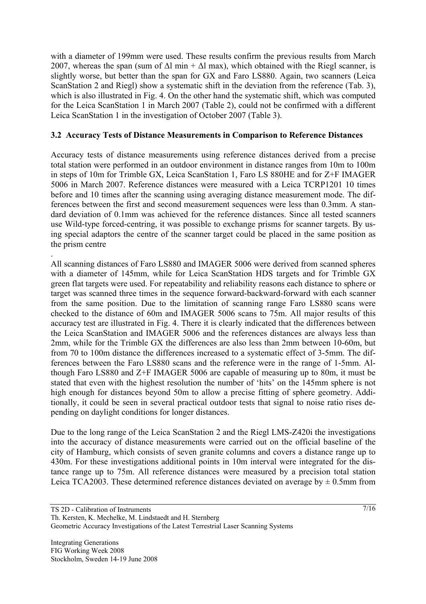with a diameter of 199mm were used. These results confirm the previous results from March 2007, whereas the span (sum of  $\Delta l$  min +  $\Delta l$  max), which obtained with the Riegl scanner, is slightly worse, but better than the span for GX and Faro LS880. Again, two scanners (Leica ScanStation 2 and Riegl) show a systematic shift in the deviation from the reference (Tab. 3), which is also illustrated in Fig. 4. On the other hand the systematic shift, which was computed for the Leica ScanStation 1 in March 2007 (Table 2), could not be confirmed with a different Leica ScanStation 1 in the investigation of October 2007 (Table 3).

# **3.2 Accuracy Tests of Distance Measurements in Comparison to Reference Distances**

Accuracy tests of distance measurements using reference distances derived from a precise total station were performed in an outdoor environment in distance ranges from 10m to 100m in steps of 10m for Trimble GX, Leica ScanStation 1, Faro LS 880HE and for Z+F IMAGER 5006 in March 2007. Reference distances were measured with a Leica TCRP1201 10 times before and 10 times after the scanning using averaging distance measurement mode. The differences between the first and second measurement sequences were less than 0.3mm. A standard deviation of 0.1mm was achieved for the reference distances. Since all tested scanners use Wild-type forced-centring, it was possible to exchange prisms for scanner targets. By using special adaptors the centre of the scanner target could be placed in the same position as the prism centre

. All scanning distances of Faro LS880 and IMAGER 5006 were derived from scanned spheres with a diameter of 145mm, while for Leica ScanStation HDS targets and for Trimble GX green flat targets were used. For repeatability and reliability reasons each distance to sphere or target was scanned three times in the sequence forward-backward-forward with each scanner from the same position. Due to the limitation of scanning range Faro LS880 scans were checked to the distance of 60m and IMAGER 5006 scans to 75m. All major results of this accuracy test are illustrated in Fig. 4. There it is clearly indicated that the differences between the Leica ScanStation and IMAGER 5006 and the references distances are always less than 2mm, while for the Trimble GX the differences are also less than 2mm between 10-60m, but from 70 to 100m distance the differences increased to a systematic effect of 3-5mm. The differences between the Faro LS880 scans and the reference were in the range of 1-5mm. Although Faro LS880 and Z+F IMAGER 5006 are capable of measuring up to 80m, it must be stated that even with the highest resolution the number of 'hits' on the 145mm sphere is not high enough for distances beyond 50m to allow a precise fitting of sphere geometry. Additionally, it could be seen in several practical outdoor tests that signal to noise ratio rises depending on daylight conditions for longer distances.

Due to the long range of the Leica ScanStation 2 and the Riegl LMS-Z420i the investigations into the accuracy of distance measurements were carried out on the official baseline of the city of Hamburg, which consists of seven granite columns and covers a distance range up to 430m. For these investigations additional points in 10m interval were integrated for the distance range up to 75m. All reference distances were measured by a precision total station Leica TCA2003. These determined reference distances deviated on average by  $\pm$  0.5mm from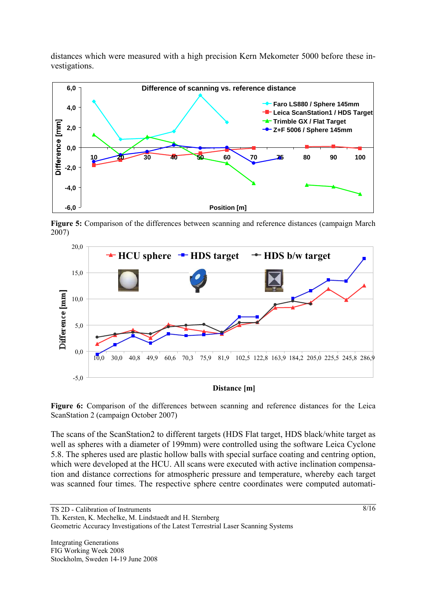distances which were measured with a high precision Kern Mekometer 5000 before these investigations.



Figure 5: Comparison of the differences between scanning and reference distances (campaign March 2007)



**Distance [m]**

**Figure 6:** Comparison of the differences between scanning and reference distances for the Leica ScanStation 2 (campaign October 2007)

The scans of the ScanStation2 to different targets (HDS Flat target, HDS black/white target as well as spheres with a diameter of 199mm) were controlled using the software Leica Cyclone 5.8. The spheres used are plastic hollow balls with special surface coating and centring option, which were developed at the HCU. All scans were executed with active inclination compensation and distance corrections for atmospheric pressure and temperature, whereby each target was scanned four times. The respective sphere centre coordinates were computed automati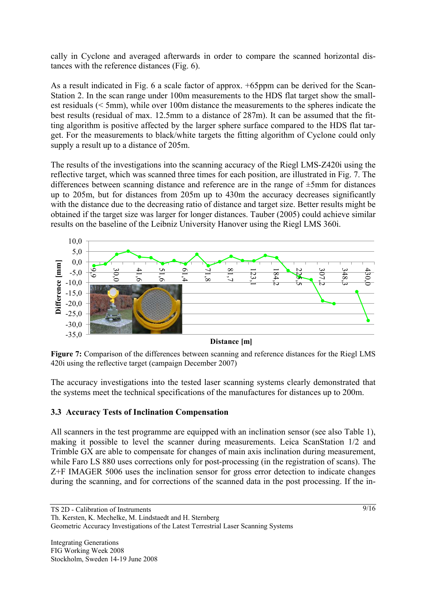cally in Cyclone and averaged afterwards in order to compare the scanned horizontal distances with the reference distances (Fig. 6).

As a result indicated in Fig. 6 a scale factor of approx. +65ppm can be derived for the Scan-Station 2. In the scan range under 100m measurements to the HDS flat target show the smallest residuals (< 5mm), while over 100m distance the measurements to the spheres indicate the best results (residual of max. 12.5mm to a distance of 287m). It can be assumed that the fitting algorithm is positive affected by the larger sphere surface compared to the HDS flat target. For the measurements to black/white targets the fitting algorithm of Cyclone could only supply a result up to a distance of 205m.

The results of the investigations into the scanning accuracy of the Riegl LMS-Z420i using the reflective target, which was scanned three times for each position, are illustrated in Fig. 7. The differences between scanning distance and reference are in the range of ±5mm for distances up to 205m, but for distances from 205m up to 430m the accuracy decreases significantly with the distance due to the decreasing ratio of distance and target size. Better results might be obtained if the target size was larger for longer distances. Tauber (2005) could achieve similar results on the baseline of the Leibniz University Hanover using the Riegl LMS 360i.



**Figure 7:** Comparison of the differences between scanning and reference distances for the Riegl LMS 420i using the reflective target (campaign December 2007)

The accuracy investigations into the tested laser scanning systems clearly demonstrated that the systems meet the technical specifications of the manufactures for distances up to 200m.

# **3.3 Accuracy Tests of Inclination Compensation**

All scanners in the test programme are equipped with an inclination sensor (see also Table 1), making it possible to level the scanner during measurements. Leica ScanStation 1/2 and Trimble GX are able to compensate for changes of main axis inclination during measurement, while Faro LS 880 uses corrections only for post-processing (in the registration of scans). The Z+F IMAGER 5006 uses the inclination sensor for gross error detection to indicate changes during the scanning, and for corrections of the scanned data in the post processing. If the in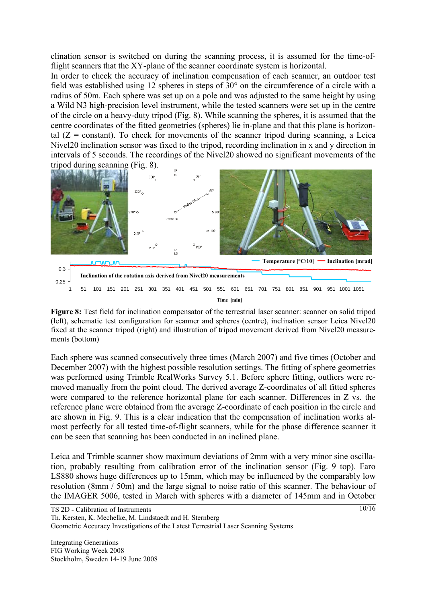clination sensor is switched on during the scanning process, it is assumed for the time-offlight scanners that the XY-plane of the scanner coordinate system is horizontal.

In order to check the accuracy of inclination compensation of each scanner, an outdoor test field was established using 12 spheres in steps of 30° on the circumference of a circle with a radius of 50m. Each sphere was set up on a pole and was adjusted to the same height by using a Wild N3 high-precision level instrument, while the tested scanners were set up in the centre of the circle on a heavy-duty tripod (Fig. 8). While scanning the spheres, it is assumed that the centre coordinates of the fitted geometries (spheres) lie in-plane and that this plane is horizontal  $(Z = constant)$ . To check for movements of the scanner tripod during scanning, a Leica Nivel20 inclination sensor was fixed to the tripod, recording inclination in x and y direction in intervals of 5 seconds. The recordings of the Nivel20 showed no significant movements of the tripod during scanning (Fig. 8).



**Figure 8:** Test field for inclination compensator of the terrestrial laser scanner: scanner on solid tripod (left), schematic test configuration for scanner and spheres (centre), inclination sensor Leica Nivel20 fixed at the scanner tripod (right) and illustration of tripod movement derived from Nivel20 measurements (bottom)

Each sphere was scanned consecutively three times (March 2007) and five times (October and December 2007) with the highest possible resolution settings. The fitting of sphere geometries was performed using Trimble RealWorks Survey 5.1. Before sphere fitting, outliers were removed manually from the point cloud. The derived average Z-coordinates of all fitted spheres were compared to the reference horizontal plane for each scanner. Differences in Z vs. the reference plane were obtained from the average Z-coordinate of each position in the circle and are shown in Fig. 9. This is a clear indication that the compensation of inclination works almost perfectly for all tested time-of-flight scanners, while for the phase difference scanner it can be seen that scanning has been conducted in an inclined plane.

Leica and Trimble scanner show maximum deviations of 2mm with a very minor sine oscillation, probably resulting from calibration error of the inclination sensor (Fig. 9 top). Faro LS880 shows huge differences up to 15mm, which may be influenced by the comparably low resolution (8mm / 50m) and the large signal to noise ratio of this scanner. The behaviour of the IMAGER 5006, tested in March with spheres with a diameter of 145mm and in October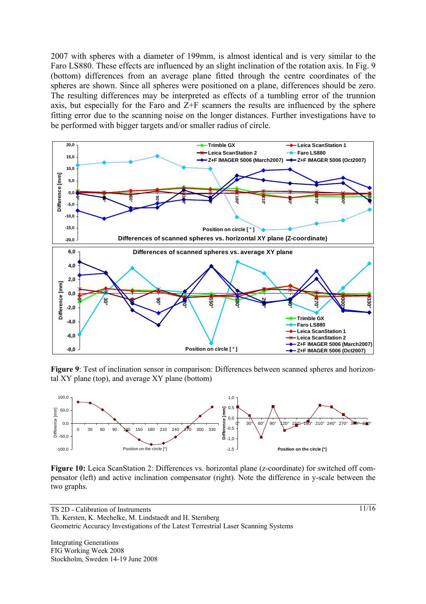2007 with spheres with a diameter of 199mm, is almost identical and is very similar to the Faro LS880. These effects are influenced by an slight inclination of the rotation axis. In Fig. 9 (bottom) differences from an average plane fitted through the centre coordinates of the spheres are shown. Since all spheres were positioned on a plane, differences should be zero. The resulting differences may be interpreted as effects of a tumbling error of the trunnion axis, but especially for the Faro and Z+F scanners the results are influenced by the sphere fitting error due to the scanning noise on the longer distances. Further investigations have to be performed with bigger targets and/or smaller radius of circle.



**Figure 9**: Test of inclination sensor in comparison: Differences between scanned spheres and horizontal XY plane (top), and average XY plane (bottom)



**Figure 10:** Leica ScanStation 2: Differences vs. horizontal plane (z-coordinate) for switched off compensator (left) and active inclination compensator (right). Note the difference in y-scale between the two graphs.

TS 2D - Calibration of Instruments Th. Kersten, K. Mechelke, M. Lindstaedt and H. Sternberg Geometric Accuracy Investigations of the Latest Terrestrial Laser Scanning Systems

Integrating Generations FIG Working Week 2008 Stockholm, Sweden 14-19 June 2008 11/16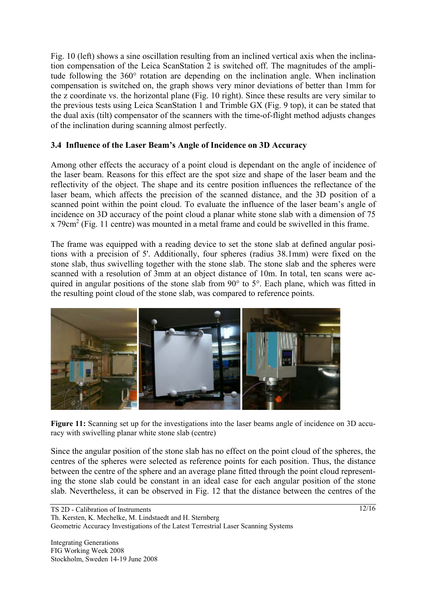Fig. 10 (left) shows a sine oscillation resulting from an inclined vertical axis when the inclination compensation of the Leica ScanStation 2 is switched off. The magnitudes of the amplitude following the 360° rotation are depending on the inclination angle. When inclination compensation is switched on, the graph shows very minor deviations of better than 1mm for the z coordinate vs. the horizontal plane (Fig. 10 right). Since these results are very similar to the previous tests using Leica ScanStation 1 and Trimble GX (Fig. 9 top), it can be stated that the dual axis (tilt) compensator of the scanners with the time-of-flight method adjusts changes of the inclination during scanning almost perfectly.

## **3.4 Influence of the Laser Beam's Angle of Incidence on 3D Accuracy**

Among other effects the accuracy of a point cloud is dependant on the angle of incidence of the laser beam. Reasons for this effect are the spot size and shape of the laser beam and the reflectivity of the object. The shape and its centre position influences the reflectance of the laser beam, which affects the precision of the scanned distance, and the 3D position of a scanned point within the point cloud. To evaluate the influence of the laser beam's angle of incidence on 3D accuracy of the point cloud a planar white stone slab with a dimension of 75  $x$  79 $cm<sup>2</sup>$  (Fig. 11 centre) was mounted in a metal frame and could be swivelled in this frame.

The frame was equipped with a reading device to set the stone slab at defined angular positions with a precision of 5'. Additionally, four spheres (radius 38.1mm) were fixed on the stone slab, thus swivelling together with the stone slab. The stone slab and the spheres were scanned with a resolution of 3mm at an object distance of 10m. In total, ten scans were acquired in angular positions of the stone slab from 90° to 5°. Each plane, which was fitted in the resulting point cloud of the stone slab, was compared to reference points.



**Figure 11:** Scanning set up for the investigations into the laser beams angle of incidence on 3D accuracy with swivelling planar white stone slab (centre)

Since the angular position of the stone slab has no effect on the point cloud of the spheres, the centres of the spheres were selected as reference points for each position. Thus, the distance between the centre of the sphere and an average plane fitted through the point cloud representing the stone slab could be constant in an ideal case for each angular position of the stone slab. Nevertheless, it can be observed in Fig. 12 that the distance between the centres of the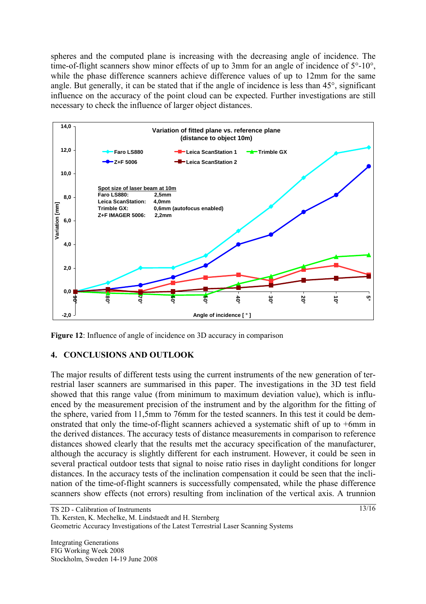spheres and the computed plane is increasing with the decreasing angle of incidence. The time-of-flight scanners show minor effects of up to 3mm for an angle of incidence of  $5^{\circ}$ -10°, while the phase difference scanners achieve difference values of up to 12mm for the same angle. But generally, it can be stated that if the angle of incidence is less than 45°, significant influence on the accuracy of the point cloud can be expected. Further investigations are still necessary to check the influence of larger object distances.



**Figure 12**: Influence of angle of incidence on 3D accuracy in comparison

# **4. CONCLUSIONS AND OUTLOOK**

The major results of different tests using the current instruments of the new generation of terrestrial laser scanners are summarised in this paper. The investigations in the 3D test field showed that this range value (from minimum to maximum deviation value), which is influenced by the measurement precision of the instrument and by the algorithm for the fitting of the sphere, varied from 11,5mm to 76mm for the tested scanners. In this test it could be demonstrated that only the time-of-flight scanners achieved a systematic shift of up to +6mm in the derived distances. The accuracy tests of distance measurements in comparison to reference distances showed clearly that the results met the accuracy specification of the manufacturer, although the accuracy is slightly different for each instrument. However, it could be seen in several practical outdoor tests that signal to noise ratio rises in daylight conditions for longer distances. In the accuracy tests of the inclination compensation it could be seen that the inclination of the time-of-flight scanners is successfully compensated, while the phase difference scanners show effects (not errors) resulting from inclination of the vertical axis. A trunnion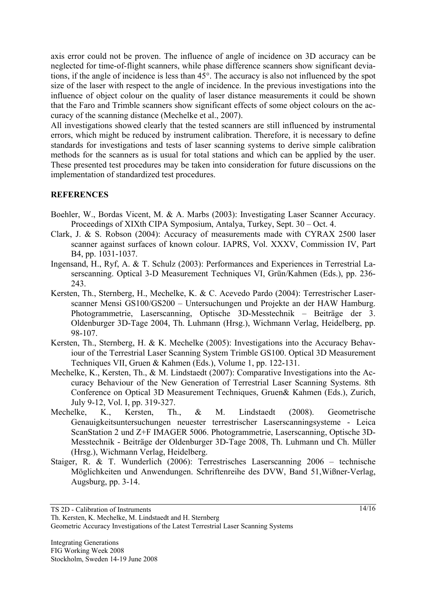axis error could not be proven. The influence of angle of incidence on 3D accuracy can be neglected for time-of-flight scanners, while phase difference scanners show significant deviations, if the angle of incidence is less than 45°. The accuracy is also not influenced by the spot size of the laser with respect to the angle of incidence. In the previous investigations into the influence of object colour on the quality of laser distance measurements it could be shown that the Faro and Trimble scanners show significant effects of some object colours on the accuracy of the scanning distance (Mechelke et al., 2007).

All investigations showed clearly that the tested scanners are still influenced by instrumental errors, which might be reduced by instrument calibration. Therefore, it is necessary to define standards for investigations and tests of laser scanning systems to derive simple calibration methods for the scanners as is usual for total stations and which can be applied by the user. These presented test procedures may be taken into consideration for future discussions on the implementation of standardized test procedures.

#### **REFERENCES**

- Boehler, W., Bordas Vicent, M. & A. Marbs (2003): Investigating Laser Scanner Accuracy. Proceedings of XIXth CIPA Symposium, Antalya, Turkey, Sept. 30 – Oct. 4.
- Clark, J. & S. Robson (2004): Accuracy of measurements made with CYRAX 2500 laser scanner against surfaces of known colour. IAPRS, Vol. XXXV, Commission IV, Part B4, pp. 1031-1037.
- Ingensand, H., Ryf, A. & T. Schulz (2003): Performances and Experiences in Terrestrial Laserscanning. Optical 3-D Measurement Techniques VI, Grün/Kahmen (Eds.), pp. 236- 243.
- Kersten, Th., Sternberg, H., Mechelke, K. & C. Acevedo Pardo (2004): Terrestrischer Laserscanner Mensi GS100/GS200 – Untersuchungen und Projekte an der HAW Hamburg. Photogrammetrie, Laserscanning, Optische 3D-Messtechnik – Beiträge der 3. Oldenburger 3D-Tage 2004, Th. Luhmann (Hrsg.), Wichmann Verlag, Heidelberg, pp. 98-107.
- Kersten, Th., Sternberg, H. & K. Mechelke (2005): Investigations into the Accuracy Behaviour of the Terrestrial Laser Scanning System Trimble GS100. Optical 3D Measurement Techniques VII, Gruen & Kahmen (Eds.), Volume 1, pp. 122-131.
- Mechelke, K., Kersten, Th., & M. Lindstaedt (2007): Comparative Investigations into the Accuracy Behaviour of the New Generation of Terrestrial Laser Scanning Systems. 8th Conference on Optical 3D Measurement Techniques, Gruen& Kahmen (Eds.), Zurich, July 9-12, Vol. I, pp. 319-327.
- Mechelke, K., Kersten, Th., & M. Lindstaedt (2008). Geometrische Genauigkeitsuntersuchungen neuester terrestrischer Laserscanningsysteme - Leica ScanStation 2 und Z+F IMAGER 5006. Photogrammetrie, Laserscanning, Optische 3D-Messtechnik - Beiträge der Oldenburger 3D-Tage 2008, Th. Luhmann und Ch. Müller (Hrsg.), Wichmann Verlag, Heidelberg.
- Staiger, R. & T. Wunderlich (2006): Terrestrisches Laserscanning 2006 technische Möglichkeiten und Anwendungen. Schriftenreihe des DVW, Band 51,Wißner-Verlag, Augsburg, pp. 3-14.

Geometric Accuracy Investigations of the Latest Terrestrial Laser Scanning Systems

TS 2D - Calibration of Instruments

Th. Kersten, K. Mechelke, M. Lindstaedt and H. Sternberg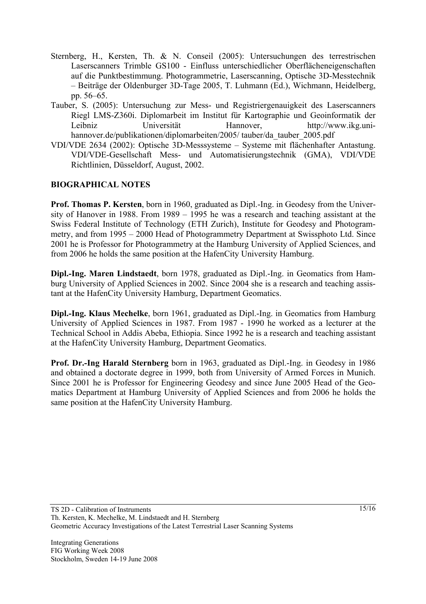- Sternberg, H., Kersten, Th. & N. Conseil (2005): Untersuchungen des terrestrischen Laserscanners Trimble GS100 - Einfluss unterschiedlicher Oberflächeneigenschaften auf die Punktbestimmung. Photogrammetrie, Laserscanning, Optische 3D-Messtechnik – Beiträge der Oldenburger 3D-Tage 2005, T. Luhmann (Ed.), Wichmann, Heidelberg, pp. 56–65.
- Tauber, S. (2005): Untersuchung zur Mess- und Registriergenauigkeit des Laserscanners Riegl LMS-Z360i. Diplomarbeit im Institut für Kartographie und Geoinformatik der Leibniz Universität Hannover, http://www.ikg.unihannover.de/publikationen/diplomarbeiten/2005/ tauber/da\_tauber\_2005.pdf
- VDI/VDE 2634 (2002): Optische 3D-Messsysteme Systeme mit flächenhafter Antastung. VDI/VDE-Gesellschaft Mess- und Automatisierungstechnik (GMA), VDI/VDE Richtlinien, Düsseldorf, August, 2002.

## **BIOGRAPHICAL NOTES**

**Prof. Thomas P. Kersten**, born in 1960, graduated as Dipl.-Ing. in Geodesy from the University of Hanover in 1988. From 1989 – 1995 he was a research and teaching assistant at the Swiss Federal Institute of Technology (ETH Zurich), Institute for Geodesy and Photogrammetry, and from 1995 – 2000 Head of Photogrammetry Department at Swissphoto Ltd. Since 2001 he is Professor for Photogrammetry at the Hamburg University of Applied Sciences, and from 2006 he holds the same position at the HafenCity University Hamburg.

**Dipl.-Ing. Maren Lindstaedt**, born 1978, graduated as Dipl.-Ing. in Geomatics from Hamburg University of Applied Sciences in 2002. Since 2004 she is a research and teaching assistant at the HafenCity University Hamburg, Department Geomatics.

**Dipl.-Ing. Klaus Mechelke**, born 1961, graduated as Dipl.-Ing. in Geomatics from Hamburg University of Applied Sciences in 1987. From 1987 - 1990 he worked as a lecturer at the Technical School in Addis Abeba, Ethiopia. Since 1992 he is a research and teaching assistant at the HafenCity University Hamburg, Department Geomatics.

**Prof. Dr.-Ing Harald Sternberg** born in 1963, graduated as Dipl.-Ing. in Geodesy in 1986 and obtained a doctorate degree in 1999, both from University of Armed Forces in Munich. Since 2001 he is Professor for Engineering Geodesy and since June 2005 Head of the Geomatics Department at Hamburg University of Applied Sciences and from 2006 he holds the same position at the HafenCity University Hamburg.